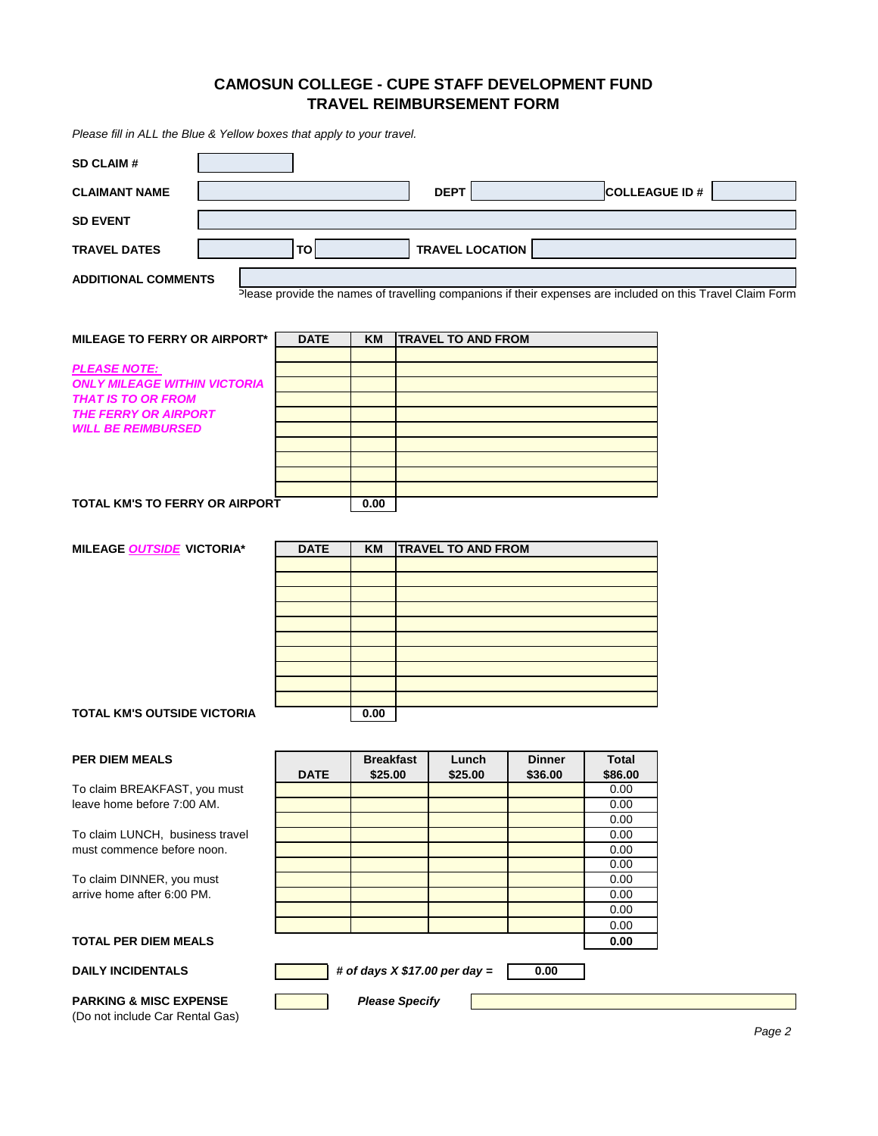## **TRAVEL REIMBURSEMENT FORM CAMOSUN COLLEGE - CUPE STAFF DEVELOPMENT FUND**

*Please fill in ALL the Blue & Yellow boxes that apply to your travel.*

| Please fill in ALL the Blue & Yellow boxes that apply to your travel.                                                                        |  |             |                  |                           |               |                         |                                                                                                            |
|----------------------------------------------------------------------------------------------------------------------------------------------|--|-------------|------------------|---------------------------|---------------|-------------------------|------------------------------------------------------------------------------------------------------------|
| <b>SD CLAIM#</b>                                                                                                                             |  |             |                  |                           |               |                         |                                                                                                            |
| <b>CLAIMANT NAME</b>                                                                                                                         |  |             |                  | <b>DEPT</b>               |               | COLLEAGUE ID #          |                                                                                                            |
| <b>SD EVENT</b>                                                                                                                              |  |             |                  |                           |               |                         |                                                                                                            |
| <b>TRAVEL DATES</b>                                                                                                                          |  | TO          |                  | <b>TRAVEL LOCATION</b>    |               |                         |                                                                                                            |
| <b>ADDITIONAL COMMENTS</b>                                                                                                                   |  |             |                  |                           |               |                         | Please provide the names of travelling companions if their expenses are included on this Travel Claim Form |
| <b>MILEAGE TO FERRY OR AIRPORT*</b>                                                                                                          |  | <b>DATE</b> | <b>KM</b>        | <b>TRAVEL TO AND FROM</b> |               |                         |                                                                                                            |
| <b>PLEASE NOTE:</b><br><b>ONLY MILEAGE WITHIN VICTORIA</b><br>THAT IS TO OR FROM<br><b>THE FERRY OR AIRPORT</b><br><b>WILL BE REIMBURSED</b> |  |             |                  |                           |               |                         |                                                                                                            |
| TOTAL KM'S TO FERRY OR AIRPORT                                                                                                               |  |             | 0.00             |                           |               |                         |                                                                                                            |
| MILEAGE OUTSIDE VICTORIA*                                                                                                                    |  | <b>DATE</b> | <b>KM</b>        | <b>TRAVEL TO AND FROM</b> |               |                         |                                                                                                            |
|                                                                                                                                              |  |             |                  |                           |               |                         |                                                                                                            |
|                                                                                                                                              |  |             |                  |                           |               |                         |                                                                                                            |
| TOTAL KM'S OUTSIDE VICTORIA                                                                                                                  |  |             | 0.00             |                           |               |                         |                                                                                                            |
| <b>PER DIEM MEALS</b>                                                                                                                        |  |             | <b>Breakfast</b> | Lunch                     | <b>Dinner</b> | <b>Total</b>            |                                                                                                            |
| To claim BREAKFAST, you must<br>leave home before 7:00 AM.                                                                                   |  | <b>DATE</b> | \$25.00          | \$25.00                   | \$36.00       | \$86.00<br>0.00<br>0.00 |                                                                                                            |
| To claim LUNCH, business travel<br>must commence before noon.                                                                                |  |             |                  |                           |               | 0.00<br>0.00<br>0.00    |                                                                                                            |
| To claim DINNER, you must<br>arrive home after 6:00 PM.                                                                                      |  |             |                  |                           |               | 0.00<br>0.00<br>0.00    |                                                                                                            |
|                                                                                                                                              |  |             |                  |                           |               | 0.00                    |                                                                                                            |

## **TOTAL PER DIEM MEALS**

## DAILY INCIDENTALS **Fig. 3** # of days X \$17.00 per day =  $\begin{bmatrix} 1 & 0 \\ 0 & 0 \end{bmatrix}$

**PARKING & MISC EXPENSE** (Do not include Car Rental Gas) *Please Specify*

**0.00**

**0.00**

0.00